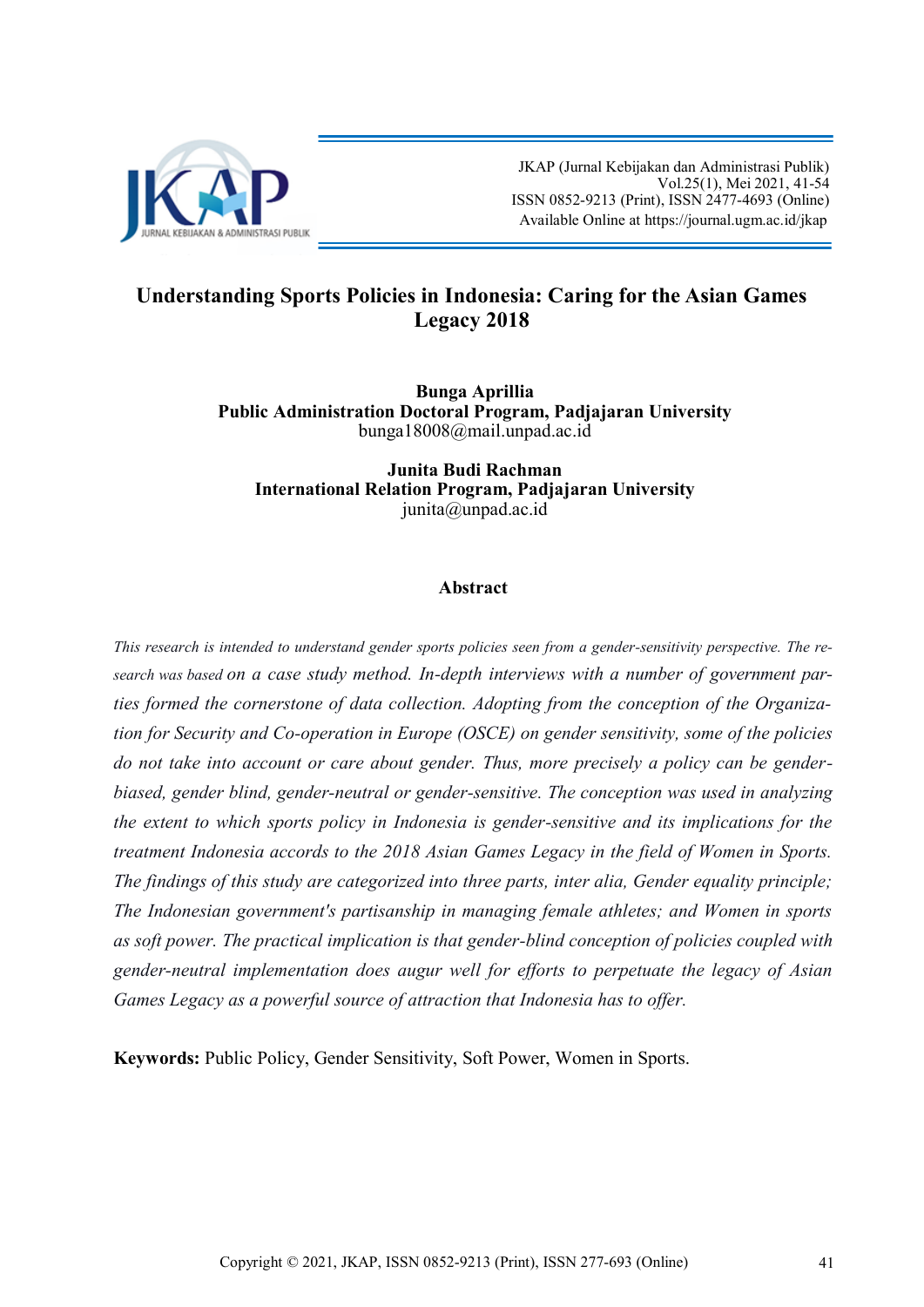

 JKAP (Jurnal Kebijakan dan Administrasi Publik) Vol.25(1), Mei 2021, 41-54 ISSN 0852-9213 (Print), ISSN 2477-4693 (Online) Available Online at [https://journal.ugm.ac.id/jkap](http://journal.ugm.ac.id/jkap)

### **Understanding Sports Policies in Indonesia: Caring for the Asian Games Legacy 2018**

**Bunga Aprillia Public Administration Doctoral Program, Padjajaran University** bunga18008@mail.unpad.ac.id

**Junita Budi Rachman International Relation Program, Padjajaran University** junita@unpad.ac.id

### **Abstract**

*This research is intended to understand gender sports policies seen from a gender-sensitivity perspective. The research was based on a case study method. In-depth interviews with a number of government parties formed the cornerstone of data collection. Adopting from the conception of the Organization for Security and Co-operation in Europe (OSCE) on gender sensitivity, some of the policies do not take into account or care about gender. Thus, more precisely a policy can be genderbiased, gender blind, gender-neutral or gender-sensitive. The conception was used in analyzing the extent to which sports policy in Indonesia is gender-sensitive and its implications for the treatment Indonesia accords to the 2018 Asian Games Legacy in the field of Women in Sports. The findings of this study are categorized into three parts, inter alia, Gender equality principle; The Indonesian government's partisanship in managing female athletes; and Women in sports as soft power. The practical implication is that gender-blind conception of policies coupled with gender-neutral implementation does augur well for efforts to perpetuate the legacy of Asian Games Legacy as a powerful source of attraction that Indonesia has to offer.*

**Keywords:** Public Policy, Gender Sensitivity, Soft Power, Women in Sports.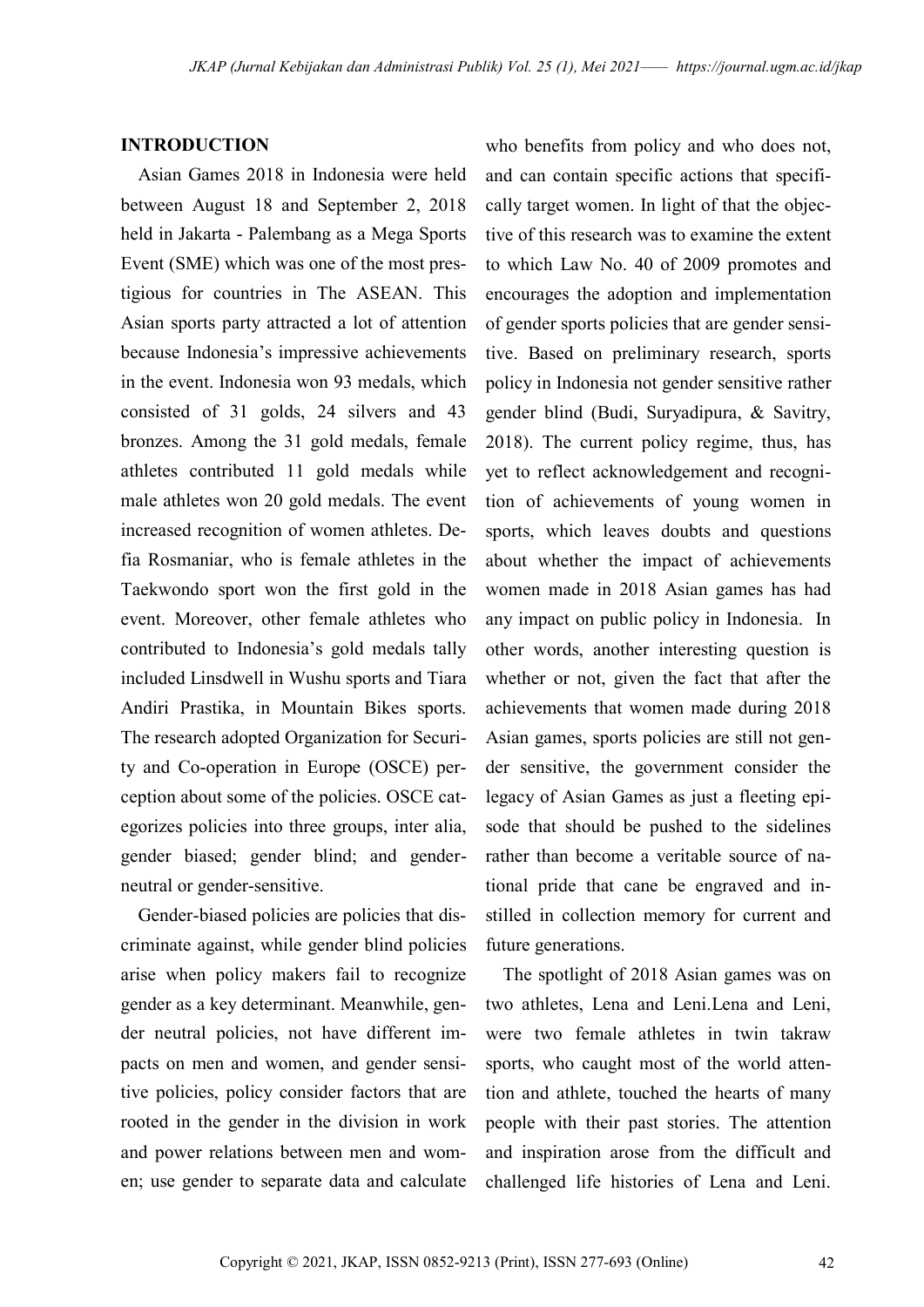#### **INTRODUCTION**

Asian Games 2018 in Indonesia were held between August 18 and September 2, 2018 held in Jakarta - Palembang as a Mega Sports Event (SME) which was one of the most prestigious for countries in The ASEAN. This Asian sports party attracted a lot of attention because Indonesia's impressive achievements in the event. Indonesia won 93 medals, which consisted of 31 golds, 24 silvers and 43 bronzes. Among the 31 gold medals, female athletes contributed 11 gold medals while male athletes won 20 gold medals. The event increased recognition of women athletes. Defia Rosmaniar, who is female athletes in the Taekwondo sport won the first gold in the event. Moreover, other female athletes who contributed to Indonesia's gold medals tally included Linsdwell in Wushu sports and Tiara Andiri Prastika, in Mountain Bikes sports. The research adopted Organization for Security and Co-operation in Europe (OSCE) perception about some of the policies. OSCE categorizes policies into three groups, inter alia, gender biased; gender blind; and genderneutral or gender-sensitive.

Gender-biased policies are policies that discriminate against, while gender blind policies arise when policy makers fail to recognize gender as a key determinant. Meanwhile, gender neutral policies, not have different impacts on men and women, and gender sensitive policies, policy consider factors that are rooted in the gender in the division in work and power relations between men and women; use gender to separate data and calculate

who benefits from policy and who does not, and can contain specific actions that specifically target women. In light of that the objective of this research was to examine the extent to which Law No. 40 of 2009 promotes and encourages the adoption and implementation of gender sports policies that are gender sensitive. Based on preliminary research, sports policy in Indonesia not gender sensitive rather gender blind (Budi, Suryadipura, & Savitry, 2018). The current policy regime, thus, has yet to reflect acknowledgement and recognition of achievements of young women in sports, which leaves doubts and questions about whether the impact of achievements women made in 2018 Asian games has had any impact on public policy in Indonesia. In other words, another interesting question is whether or not, given the fact that after the achievements that women made during 2018 Asian games, sports policies are still not gender sensitive, the government consider the legacy of Asian Games as just a fleeting episode that should be pushed to the sidelines rather than become a veritable source of national pride that cane be engraved and instilled in collection memory for current and future generations.

The spotlight of 2018 Asian games was on two athletes, Lena and Leni.Lena and Leni, were two female athletes in twin takraw sports, who caught most of the world attention and athlete, touched the hearts of many people with their past stories. The attention and inspiration arose from the difficult and challenged life histories of Lena and Leni.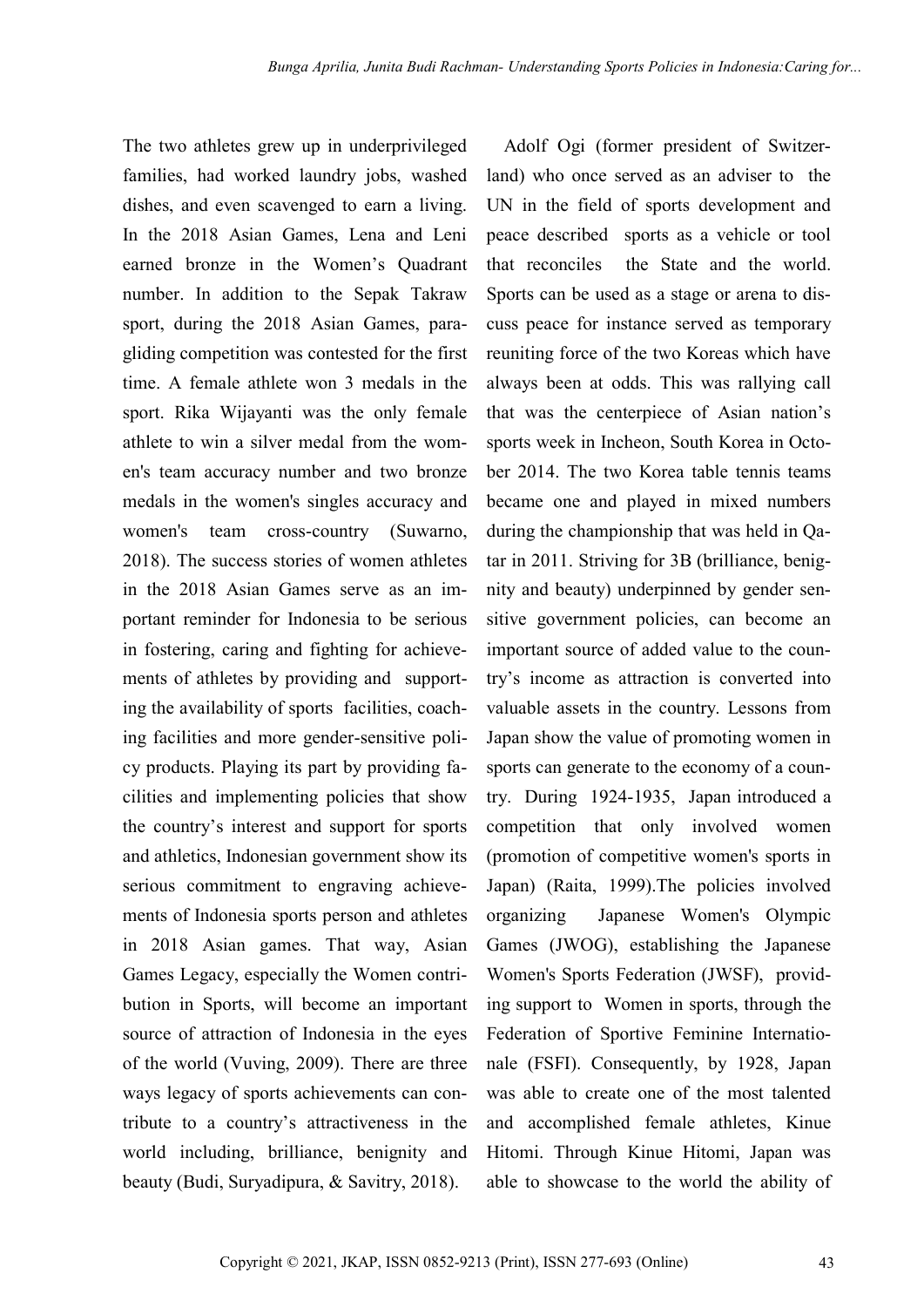The two athletes grew up in underprivileged families, had worked laundry jobs, washed dishes, and even scavenged to earn a living. In the 2018 Asian Games, Lena and Leni earned bronze in the Women's Quadrant number. In addition to the Sepak Takraw sport, during the 2018 Asian Games, paragliding competition was contested for the first time. A female athlete won 3 medals in the sport. Rika Wijayanti was the only female athlete to win a silver medal from the women's team accuracy number and two bronze medals in the women's singles accuracy and women's team cross-country (Suwarno, 2018). The success stories of women athletes in the 2018 Asian Games serve as an important reminder for Indonesia to be serious in fostering, caring and fighting for achievements of athletes by providing and supporting the availability of sports facilities, coaching facilities and more gender-sensitive policy products. Playing its part by providing facilities and implementing policies that show the country's interest and support for sports and athletics, Indonesian government show its serious commitment to engraving achievements of Indonesia sports person and athletes in 2018 Asian games. That way, Asian Games Legacy, especially the Women contribution in Sports, will become an important source of attraction of Indonesia in the eyes of the world (Vuving, 2009). There are three ways legacy of sports achievements can contribute to a country's attractiveness in the world including, brilliance, benignity and beauty (Budi, Suryadipura, & Savitry, 2018).

Adolf Ogi (former president of Switzerland) who once served as an adviser to the UN in the field of sports development and peace described sports as a vehicle or tool that reconciles the State and the world. Sports can be used as a stage or arena to discuss peace for instance served as temporary reuniting force of the two Koreas which have always been at odds. This was rallying call that was the centerpiece of Asian nation's sports week in Incheon, South Korea in October 2014. The two Korea table tennis teams became one and played in mixed numbers during the championship that was held in Qatar in 2011. Striving for 3B (brilliance, benignity and beauty) underpinned by gender sensitive government policies, can become an important source of added value to the country's income as attraction is converted into valuable assets in the country. Lessons from Japan show the value of promoting women in sports can generate to the economy of a country. During 1924-1935, Japan introduced a competition that only involved women (promotion of competitive women's sports in Japan) (Raita, 1999).The policies involved organizing Japanese Women's Olympic Games (JWOG), establishing the Japanese Women's Sports Federation (JWSF), providing support to Women in sports, through the Federation of Sportive Feminine Internationale (FSFI). Consequently, by 1928, Japan was able to create one of the most talented and accomplished female athletes, Kinue Hitomi. Through Kinue Hitomi, Japan was able to showcase to the world the ability of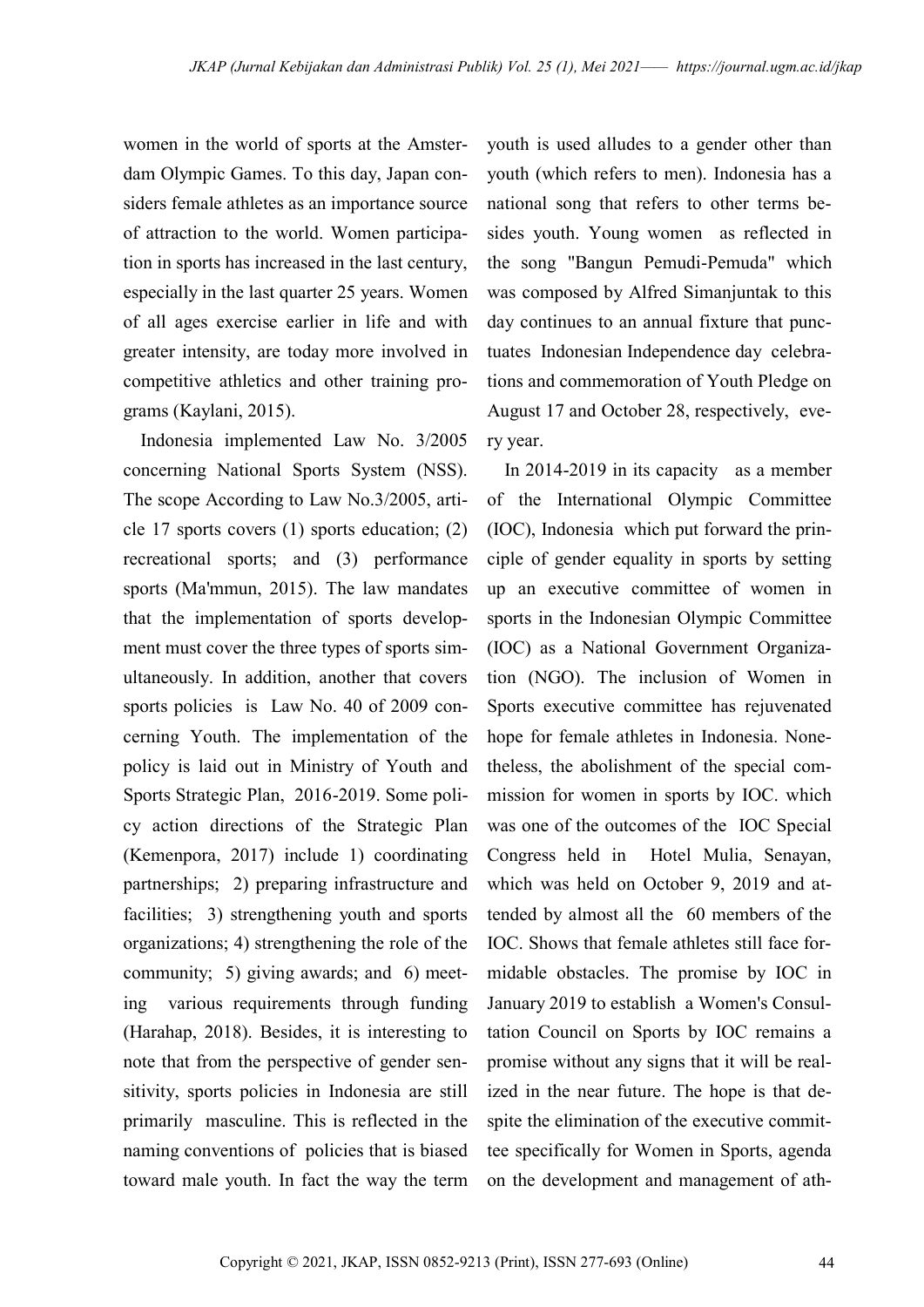women in the world of sports at the Amsterdam Olympic Games. To this day, Japan considers female athletes as an importance source of attraction to the world. Women participation in sports has increased in the last century, especially in the last quarter 25 years. Women of all ages exercise earlier in life and with greater intensity, are today more involved in competitive athletics and other training programs (Kaylani, 2015).

Indonesia implemented Law No. 3/2005 concerning National Sports System (NSS). The scope According to Law No.3/2005, article 17 sports covers (1) sports education; (2) recreational sports; and (3) performance sports (Ma'mmun, 2015). The law mandates that the implementation of sports development must cover the three types of sports simultaneously. In addition, another that covers sports policies is Law No. 40 of 2009 concerning Youth. The implementation of the policy is laid out in Ministry of Youth and Sports Strategic Plan, 2016-2019. Some policy action directions of the Strategic Plan (Kemenpora, 2017) include 1) coordinating partnerships; 2) preparing infrastructure and facilities; 3) strengthening youth and sports organizations; 4) strengthening the role of the community; 5) giving awards; and 6) meeting various requirements through funding (Harahap, 2018). Besides, it is interesting to note that from the perspective of gender sensitivity, sports policies in Indonesia are still primarily masculine. This is reflected in the naming conventions of policies that is biased toward male youth. In fact the way the term

youth is used alludes to a gender other than youth (which refers to men). Indonesia has a national song that refers to other terms besides youth. Young women as reflected in the song "Bangun Pemudi-Pemuda" which was composed by Alfred Simanjuntak to this day continues to an annual fixture that punctuates Indonesian Independence day celebrations and commemoration of Youth Pledge on August 17 and October 28, respectively, every year.

In 2014-2019 in its capacity as a member of the International Olympic Committee (IOC), Indonesia which put forward the principle of gender equality in sports by setting up an executive committee of women in sports in the Indonesian Olympic Committee (IOC) as a National Government Organization (NGO). The inclusion of Women in Sports executive committee has rejuvenated hope for female athletes in Indonesia. Nonetheless, the abolishment of the special commission for women in sports by IOC. which was one of the outcomes of the IOC Special Congress held in Hotel Mulia, Senayan, which was held on October 9, 2019 and attended by almost all the 60 members of the IOC. Shows that female athletes still face formidable obstacles. The promise by IOC in January 2019 to establish a Women's Consultation Council on Sports by IOC remains a promise without any signs that it will be realized in the near future. The hope is that despite the elimination of the executive committee specifically for Women in Sports, agenda on the development and management of ath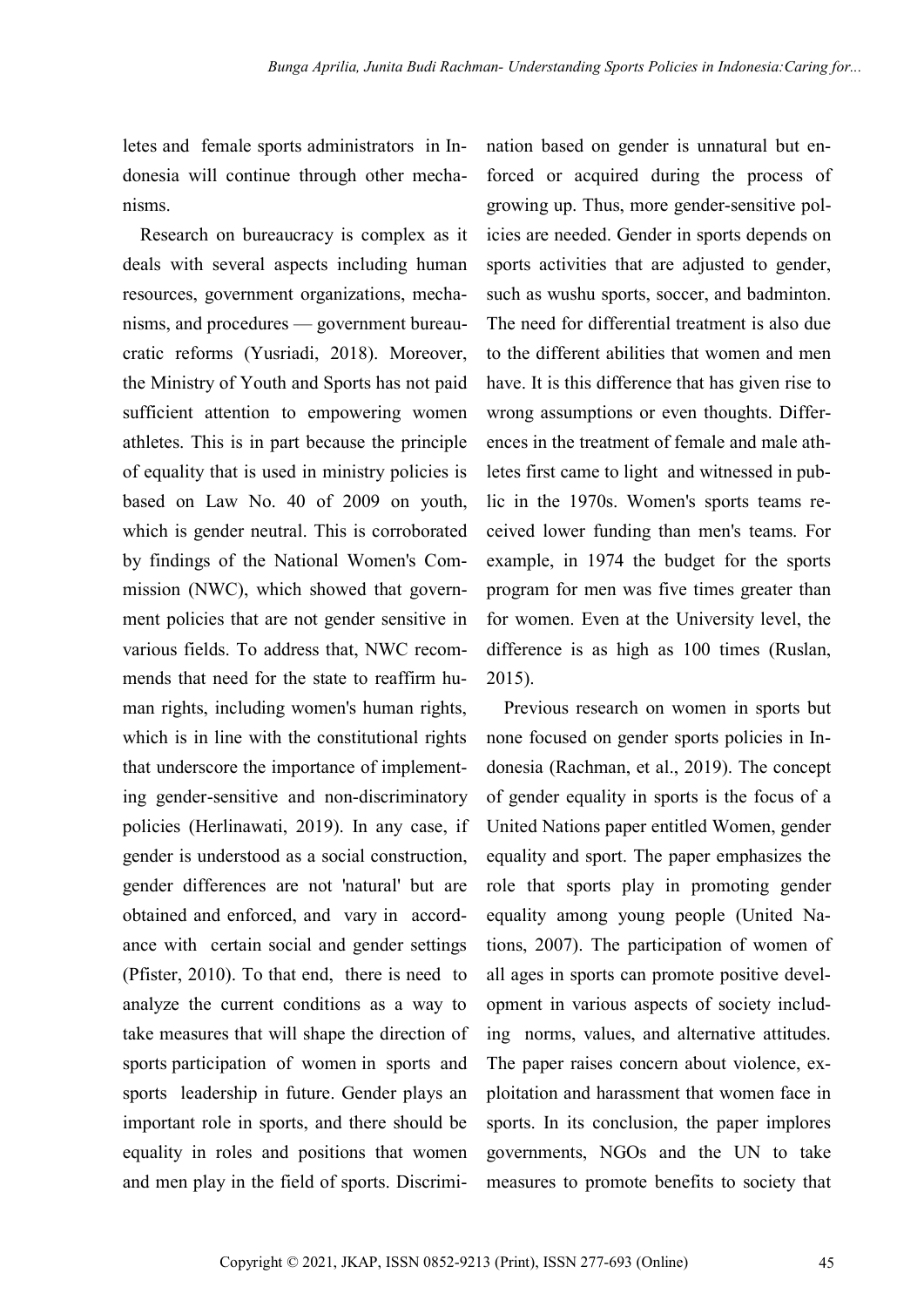letes and female sports administrators in Indonesia will continue through other mechanisms.

Research on bureaucracy is complex as it deals with several aspects including human resources, government organizations, mechanisms, and procedures — government bureaucratic reforms (Yusriadi, 2018). Moreover, the Ministry of Youth and Sports has not paid sufficient attention to empowering women athletes. This is in part because the principle of equality that is used in ministry policies is based on Law No. 40 of 2009 on youth, which is gender neutral. This is corroborated by findings of the National Women's Commission (NWC), which showed that government policies that are not gender sensitive in various fields. To address that, NWC recommends that need for the state to reaffirm human rights, including women's human rights, which is in line with the constitutional rights that underscore the importance of implementing gender-sensitive and non-discriminatory policies (Herlinawati, 2019). In any case, if gender is understood as a social construction, gender differences are not 'natural' but are obtained and enforced, and vary in accordance with certain social and gender settings (Pfister, 2010). To that end, there is need to analyze the current conditions as a way to take measures that will shape the direction of sports participation of women in sports and sports leadership in future. Gender plays an important role in sports, and there should be equality in roles and positions that women and men play in the field of sports. Discrimination based on gender is unnatural but enforced or acquired during the process of growing up. Thus, more gender-sensitive policies are needed. Gender in sports depends on sports activities that are adjusted to gender, such as wushu sports, soccer, and badminton. The need for differential treatment is also due to the different abilities that women and men have. It is this difference that has given rise to wrong assumptions or even thoughts. Differences in the treatment of female and male athletes first came to light and witnessed in public in the 1970s. Women's sports teams received lower funding than men's teams. For example, in 1974 the budget for the sports program for men was five times greater than for women. Even at the University level, the difference is as high as 100 times (Ruslan, 2015).

Previous research on women in sports but none focused on gender sports policies in Indonesia (Rachman, et al., 2019). The concept of gender equality in sports is the focus of a United Nations paper entitled Women, gender equality and sport. The paper emphasizes the role that sports play in promoting gender equality among young people (United Nations, 2007). The participation of women of all ages in sports can promote positive development in various aspects of society including norms, values, and alternative attitudes. The paper raises concern about violence, exploitation and harassment that women face in sports. In its conclusion, the paper implores governments, NGOs and the UN to take measures to promote benefits to society that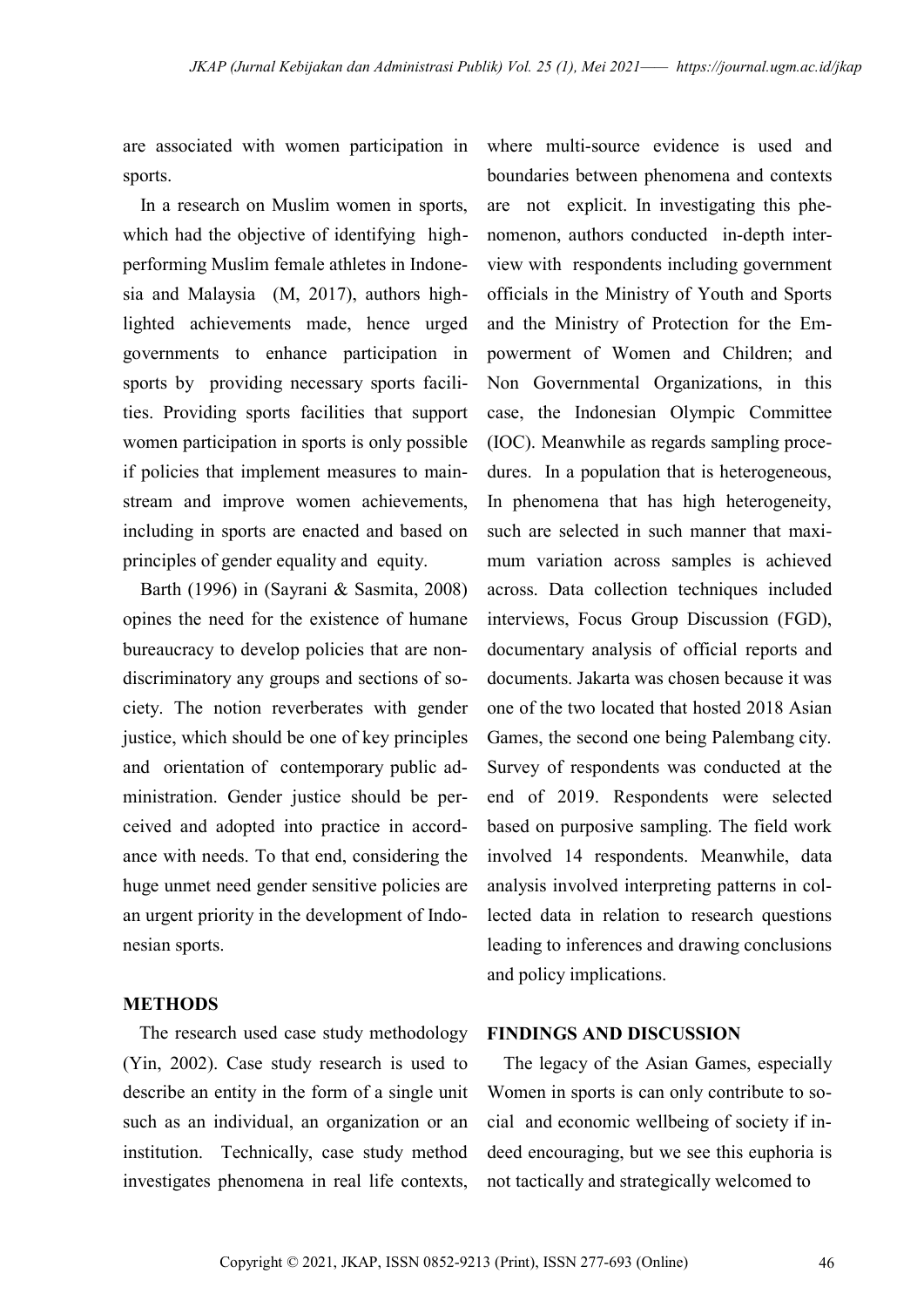are associated with women participation in sports.

In a research on Muslim women in sports, which had the objective of identifying highperforming Muslim female athletes in Indonesia and Malaysia (M, 2017), authors highlighted achievements made, hence urged governments to enhance participation in sports by providing necessary sports facilities. Providing sports facilities that support women participation in sports is only possible if policies that implement measures to mainstream and improve women achievements, including in sports are enacted and based on principles of gender equality and equity.

Barth (1996) in (Sayrani & Sasmita, 2008) opines the need for the existence of humane bureaucracy to develop policies that are nondiscriminatory any groups and sections of society. The notion reverberates with gender justice, which should be one of key principles and orientation of contemporary public administration. Gender justice should be perceived and adopted into practice in accordance with needs. To that end, considering the huge unmet need gender sensitive policies are an urgent priority in the development of Indonesian sports.

#### **METHODS**

The research used case study methodology (Yin, 2002). Case study research is used to describe an entity in the form of a single unit such as an individual, an organization or an institution. Technically, case study method investigates phenomena in real life contexts,

where multi-source evidence is used and boundaries between phenomena and contexts are not explicit. In investigating this phenomenon, authors conducted in-depth interview with respondents including government officials in the Ministry of Youth and Sports and the Ministry of Protection for the Empowerment of Women and Children; and Non Governmental Organizations, in this case, the Indonesian Olympic Committee (IOC). Meanwhile as regards sampling procedures. In a population that is heterogeneous, In phenomena that has high heterogeneity, such are selected in such manner that maximum variation across samples is achieved across. Data collection techniques included interviews, Focus Group Discussion (FGD), documentary analysis of official reports and documents. Jakarta was chosen because it was one of the two located that hosted 2018 Asian Games, the second one being Palembang city. Survey of respondents was conducted at the end of 2019. Respondents were selected based on purposive sampling. The field work involved 14 respondents. Meanwhile, data analysis involved interpreting patterns in collected data in relation to research questions leading to inferences and drawing conclusions and policy implications.

#### **FINDINGS AND DISCUSSION**

The legacy of the Asian Games, especially Women in sports is can only contribute to social and economic wellbeing of society if indeed encouraging, but we see this euphoria is not tactically and strategically welcomed to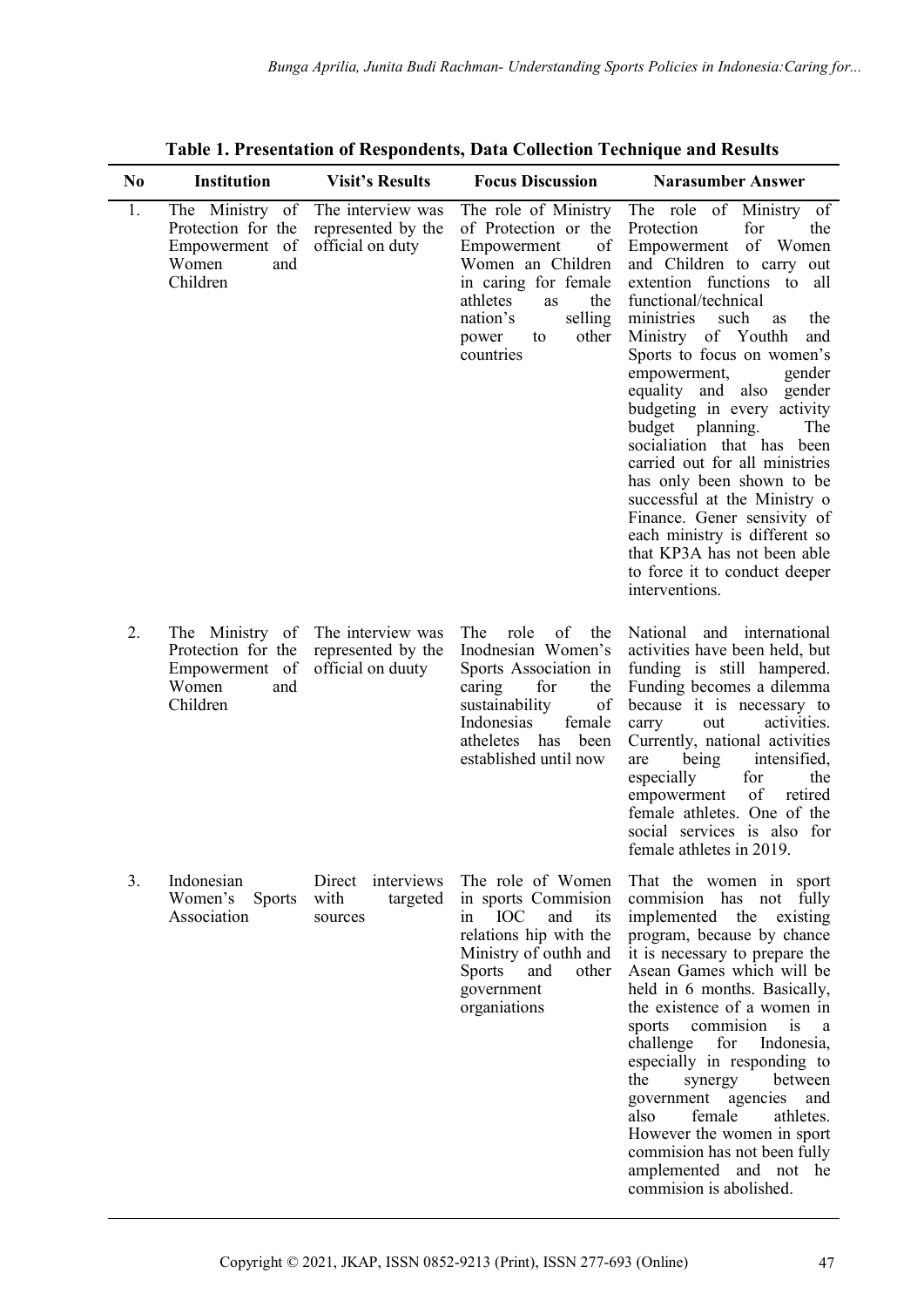| N <sub>0</sub> | <b>Institution</b>                                                                  | <b>Visit's Results</b>                                       | <b>Focus Discussion</b>                                                                                                                                                                              | <b>Narasumber Answer</b>                                                                                                                                                                                                                                                                                                                                                                                                                                                                                                                                                                                                                                                             |
|----------------|-------------------------------------------------------------------------------------|--------------------------------------------------------------|------------------------------------------------------------------------------------------------------------------------------------------------------------------------------------------------------|--------------------------------------------------------------------------------------------------------------------------------------------------------------------------------------------------------------------------------------------------------------------------------------------------------------------------------------------------------------------------------------------------------------------------------------------------------------------------------------------------------------------------------------------------------------------------------------------------------------------------------------------------------------------------------------|
| 1.             | The Ministry of<br>Protection for the<br>Empowerment of<br>Women<br>and<br>Children | The interview was<br>represented by the<br>official on duty  | The role of Ministry<br>of Protection or the<br>of<br>Empowerment<br>Women an Children<br>in caring for female<br>athletes<br>the<br>as<br>selling<br>nation's<br>other<br>to<br>power<br>countries  | The role of Ministry of<br>for<br>Protection<br>the<br>of Women<br>Empowerment<br>and Children to carry out<br>extention functions to<br>all<br>functional/technical<br>ministries<br>such<br>the<br><b>as</b><br>Ministry of Youthh<br>and<br>Sports to focus on women's<br>empowerment,<br>gender<br>equality and<br>also<br>gender<br>budgeting in every activity<br>budget<br>planning.<br>The<br>socialiation that has<br>been<br>carried out for all ministries<br>has only been shown to be<br>successful at the Ministry o<br>Finance. Gener sensivity of<br>each ministry is different so<br>that KP3A has not been able<br>to force it to conduct deeper<br>interventions. |
| 2.             | The Ministry of<br>Protection for the<br>Empowerment of<br>Women<br>and<br>Children | The interview was<br>represented by the<br>official on duuty | of<br>The<br>role<br>the<br>Inodnesian Women's<br>Sports Association in<br>caring<br>for<br>the<br>sustainability<br>of<br>Indonesias<br>female<br>atheletes<br>has<br>been<br>established until now | National and international<br>activities have been held, but<br>funding is still hampered.<br>Funding becomes a dilemma<br>because it is necessary to<br>carry<br>activities.<br>out<br>Currently, national activities<br>intensified,<br>being<br>are<br>for<br>especially<br>the<br>of<br>empowerment<br>retired<br>female athletes. One of the<br>social services is also for<br>female athletes in 2019.                                                                                                                                                                                                                                                                         |
| 3.             | Indonesian<br>Women's Sports<br>Association                                         | Direct interviews<br>with<br>targeted<br>sources             | The role of Women<br>in sports Commision<br><b>IOC</b><br>and<br>its<br>1n<br>relations hip with the<br>Ministry of outhh and<br><b>Sports</b><br>and<br>other<br>government<br>organiations         | That the women in sport<br>commision has not fully<br>implemented the existing<br>program, because by chance<br>it is necessary to prepare the<br>Asean Games which will be<br>held in 6 months. Basically,<br>the existence of a women in<br>commision<br>is<br>a<br>sports<br>challenge<br>for<br>Indonesia,<br>especially in responding to<br>between<br>the<br>synergy<br>government agencies<br>and<br>female<br>also<br>athletes.<br>However the women in sport<br>commision has not been fully<br>amplemented and not he<br>commision is abolished.                                                                                                                           |

**Table 1. Presentation of Respondents, Data Collection Technique and Results**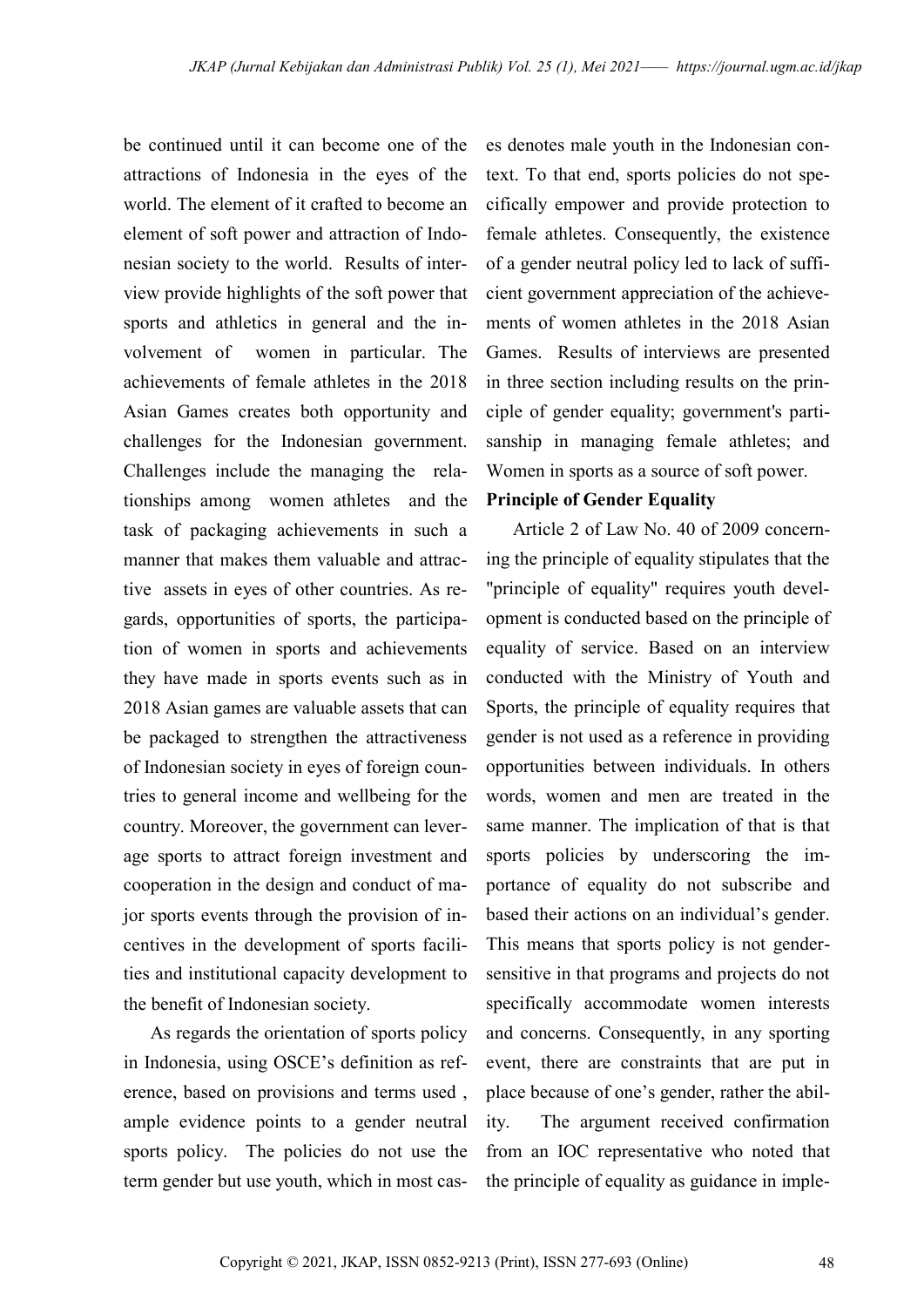be continued until it can become one of the attractions of Indonesia in the eyes of the world. The element of it crafted to become an element of soft power and attraction of Indonesian society to the world. Results of interview provide highlights of the soft power that sports and athletics in general and the involvement of women in particular. The achievements of female athletes in the 2018 Asian Games creates both opportunity and challenges for the Indonesian government. Challenges include the managing the relationships among women athletes and the task of packaging achievements in such a manner that makes them valuable and attractive assets in eyes of other countries. As regards, opportunities of sports, the participation of women in sports and achievements they have made in sports events such as in 2018 Asian games are valuable assets that can be packaged to strengthen the attractiveness of Indonesian society in eyes of foreign countries to general income and wellbeing for the country. Moreover, the government can leverage sports to attract foreign investment and cooperation in the design and conduct of major sports events through the provision of incentives in the development of sports facilities and institutional capacity development to the benefit of Indonesian society.

As regards the orientation of sports policy in Indonesia, using OSCE's definition as reference, based on provisions and terms used , ample evidence points to a gender neutral sports policy. The policies do not use the term gender but use youth, which in most cases denotes male youth in the Indonesian context. To that end, sports policies do not specifically empower and provide protection to female athletes. Consequently, the existence of a gender neutral policy led to lack of sufficient government appreciation of the achievements of women athletes in the 2018 Asian Games. Results of interviews are presented in three section including results on the principle of gender equality; government's partisanship in managing female athletes; and Women in sports as a source of soft power.

#### **Principle of Gender Equality**

Article 2 of Law No. 40 of 2009 concerning the principle of equality stipulates that the "principle of equality" requires youth development is conducted based on the principle of equality of service. Based on an interview conducted with the Ministry of Youth and Sports, the principle of equality requires that gender is not used as a reference in providing opportunities between individuals. In others words, women and men are treated in the same manner. The implication of that is that sports policies by underscoring the importance of equality do not subscribe and based their actions on an individual's gender. This means that sports policy is not gendersensitive in that programs and projects do not specifically accommodate women interests and concerns. Consequently, in any sporting event, there are constraints that are put in place because of one's gender, rather the ability. The argument received confirmation from an IOC representative who noted that the principle of equality as guidance in imple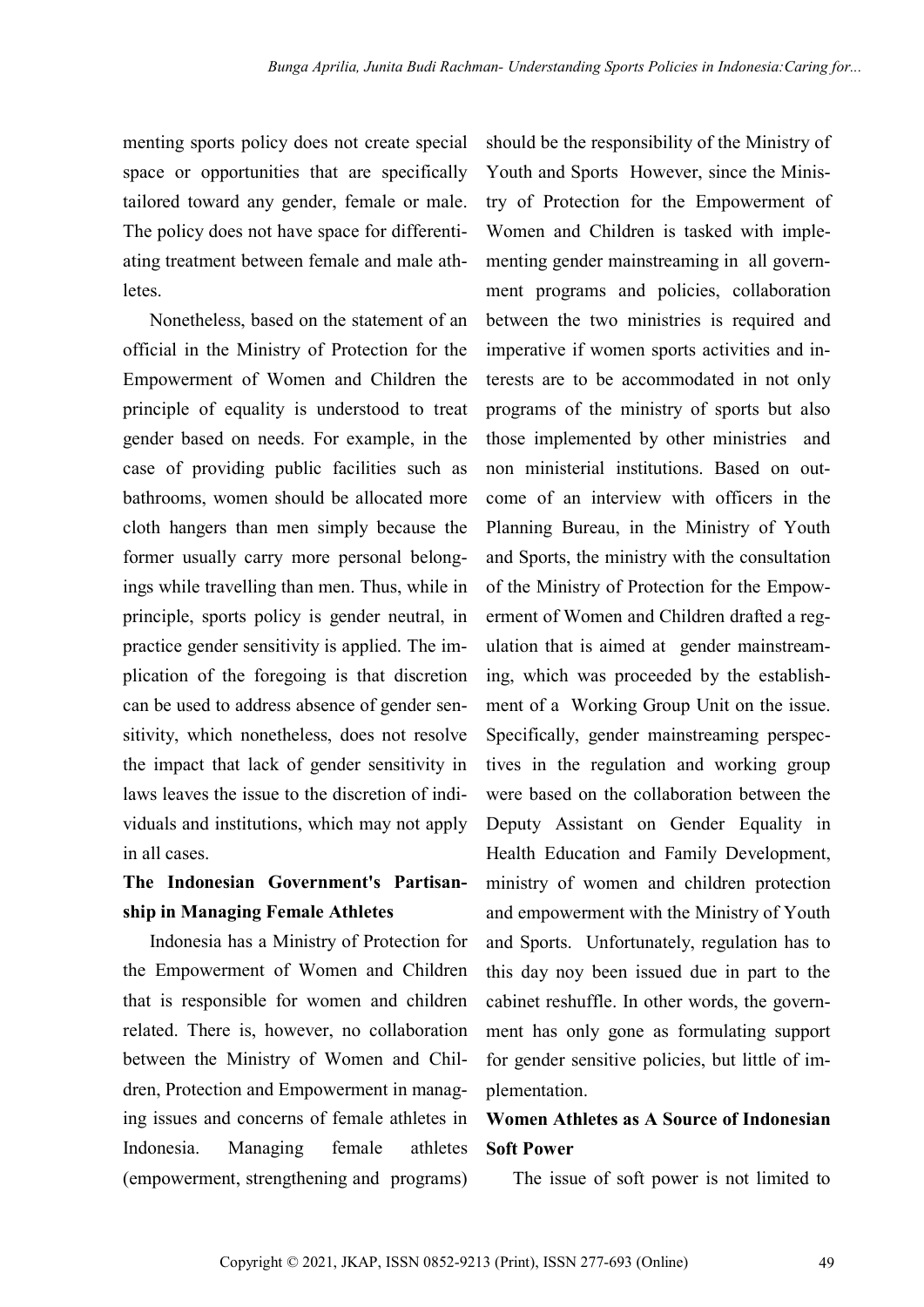menting sports policy does not create special space or opportunities that are specifically tailored toward any gender, female or male. The policy does not have space for differentiating treatment between female and male athletes.

Nonetheless, based on the statement of an official in the Ministry of Protection for the Empowerment of Women and Children the principle of equality is understood to treat gender based on needs. For example, in the case of providing public facilities such as bathrooms, women should be allocated more cloth hangers than men simply because the former usually carry more personal belongings while travelling than men. Thus, while in principle, sports policy is gender neutral, in practice gender sensitivity is applied. The implication of the foregoing is that discretion can be used to address absence of gender sensitivity, which nonetheless, does not resolve the impact that lack of gender sensitivity in laws leaves the issue to the discretion of individuals and institutions, which may not apply in all cases.

# **The Indonesian Government's Partisanship in Managing Female Athletes**

Indonesia has a Ministry of Protection for the Empowerment of Women and Children that is responsible for women and children related. There is, however, no collaboration between the Ministry of Women and Children, Protection and Empowerment in managing issues and concerns of female athletes in Indonesia. Managing female athletes (empowerment, strengthening and programs) should be the responsibility of the Ministry of Youth and Sports However, since the Ministry of Protection for the Empowerment of Women and Children is tasked with implementing gender mainstreaming in all government programs and policies, collaboration between the two ministries is required and imperative if women sports activities and interests are to be accommodated in not only programs of the ministry of sports but also those implemented by other ministries and non ministerial institutions. Based on outcome of an interview with officers in the Planning Bureau, in the Ministry of Youth and Sports, the ministry with the consultation of the Ministry of Protection for the Empowerment of Women and Children drafted a regulation that is aimed at gender mainstreaming, which was proceeded by the establishment of a Working Group Unit on the issue. Specifically, gender mainstreaming perspectives in the regulation and working group were based on the collaboration between the Deputy Assistant on Gender Equality in Health Education and Family Development, ministry of women and children protection and empowerment with the Ministry of Youth and Sports. Unfortunately, regulation has to this day noy been issued due in part to the cabinet reshuffle. In other words, the government has only gone as formulating support for gender sensitive policies, but little of implementation.

## **Women Athletes as A Source of Indonesian Soft Power**

The issue of soft power is not limited to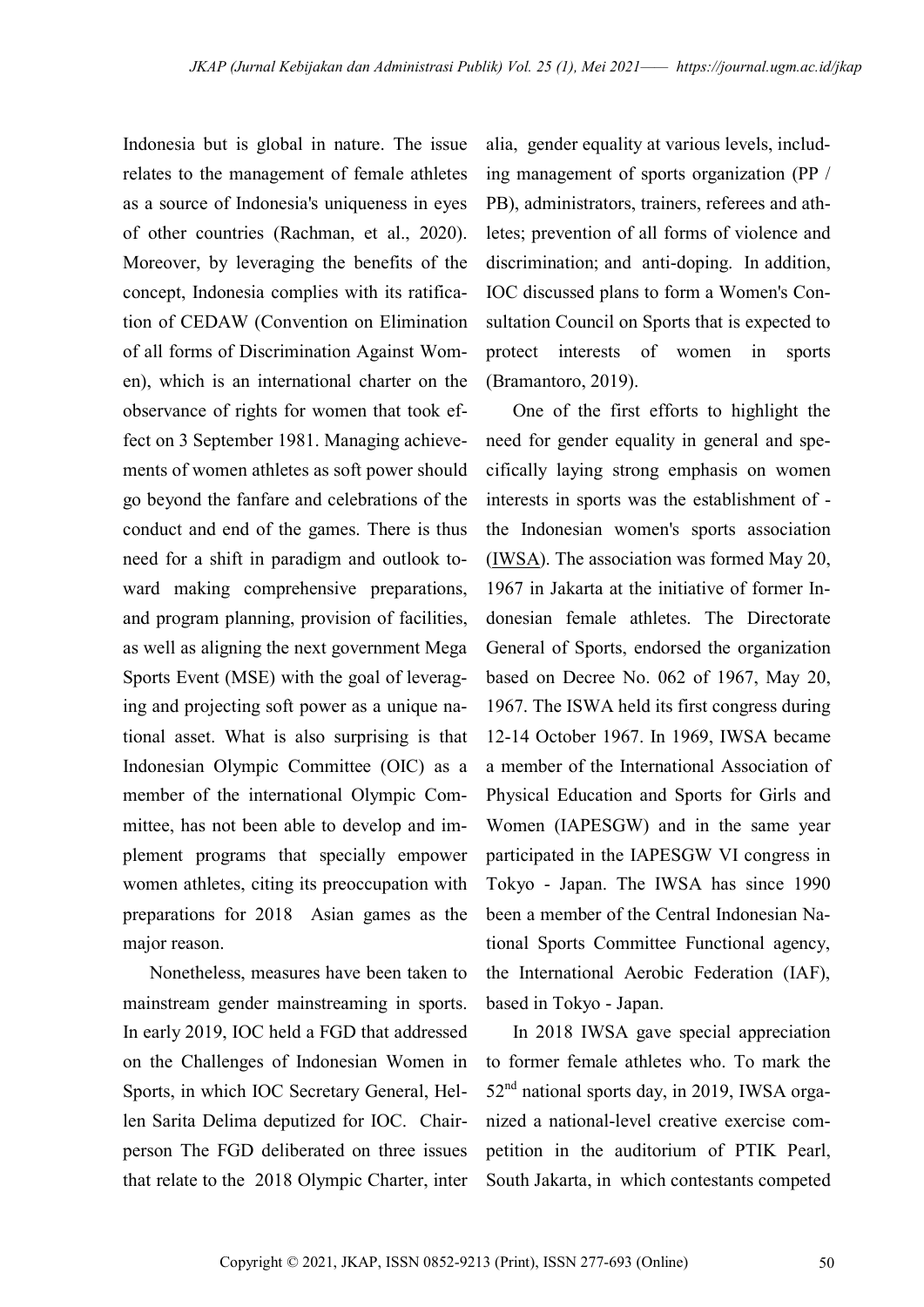Indonesia but is global in nature. The issue relates to the management of female athletes as a source of Indonesia's uniqueness in eyes of other countries (Rachman, et al., 2020). Moreover, by leveraging the benefits of the concept, Indonesia complies with its ratification of CEDAW (Convention on Elimination of all forms of Discrimination Against Women), which is an international charter on the observance of rights for women that took effect on 3 September 1981. Managing achievements of women athletes as soft power should go beyond the fanfare and celebrations of the conduct and end of the games. There is thus need for a shift in paradigm and outlook toward making comprehensive preparations, and program planning, provision of facilities, as well as aligning the next government Mega Sports Event (MSE) with the goal of leveraging and projecting soft power as a unique national asset. What is also surprising is that Indonesian Olympic Committee (OIC) as a member of the international Olympic Committee, has not been able to develop and implement programs that specially empower women athletes, citing its preoccupation with preparations for 2018 Asian games as the major reason.

Nonetheless, measures have been taken to mainstream gender mainstreaming in sports. In early 2019, IOC held a FGD that addressed on the Challenges of Indonesian Women in Sports, in which IOC Secretary General, Hellen Sarita Delima deputized for IOC. Chairperson The FGD deliberated on three issues that relate to the 2018 Olympic Charter, inter

alia, gender equality at various levels, including management of sports organization (PP / PB), administrators, trainers, referees and athletes; prevention of all forms of violence and discrimination; and anti-doping. In addition, IOC discussed plans to form a Women's Consultation Council on Sports that is expected to protect interests of women in sports (Bramantoro, 2019).

One of the first efforts to highlight the need for gender equality in general and specifically laying strong emphasis on women interests in sports was the establishment of the Indonesian women's sports association (IWSA). The association was formed May 20, 1967 in Jakarta at the initiative of former Indonesian female athletes. The Directorate General of Sports, endorsed the organization based on Decree No. 062 of 1967, May 20, 1967. The ISWA held its first congress during 12-14 October 1967. In 1969, IWSA became a member of the International Association of Physical Education and Sports for Girls and Women (IAPESGW) and in the same year participated in the IAPESGW VI congress in Tokyo - Japan. The IWSA has since 1990 been a member of the Central Indonesian National Sports Committee Functional agency, the International Aerobic Federation (IAF), based in Tokyo - Japan.

In 2018 IWSA gave special appreciation to former female athletes who. To mark the 52nd national sports day, in 2019, IWSA organized a national-level creative exercise competition in the auditorium of PTIK Pearl, South Jakarta, in which contestants competed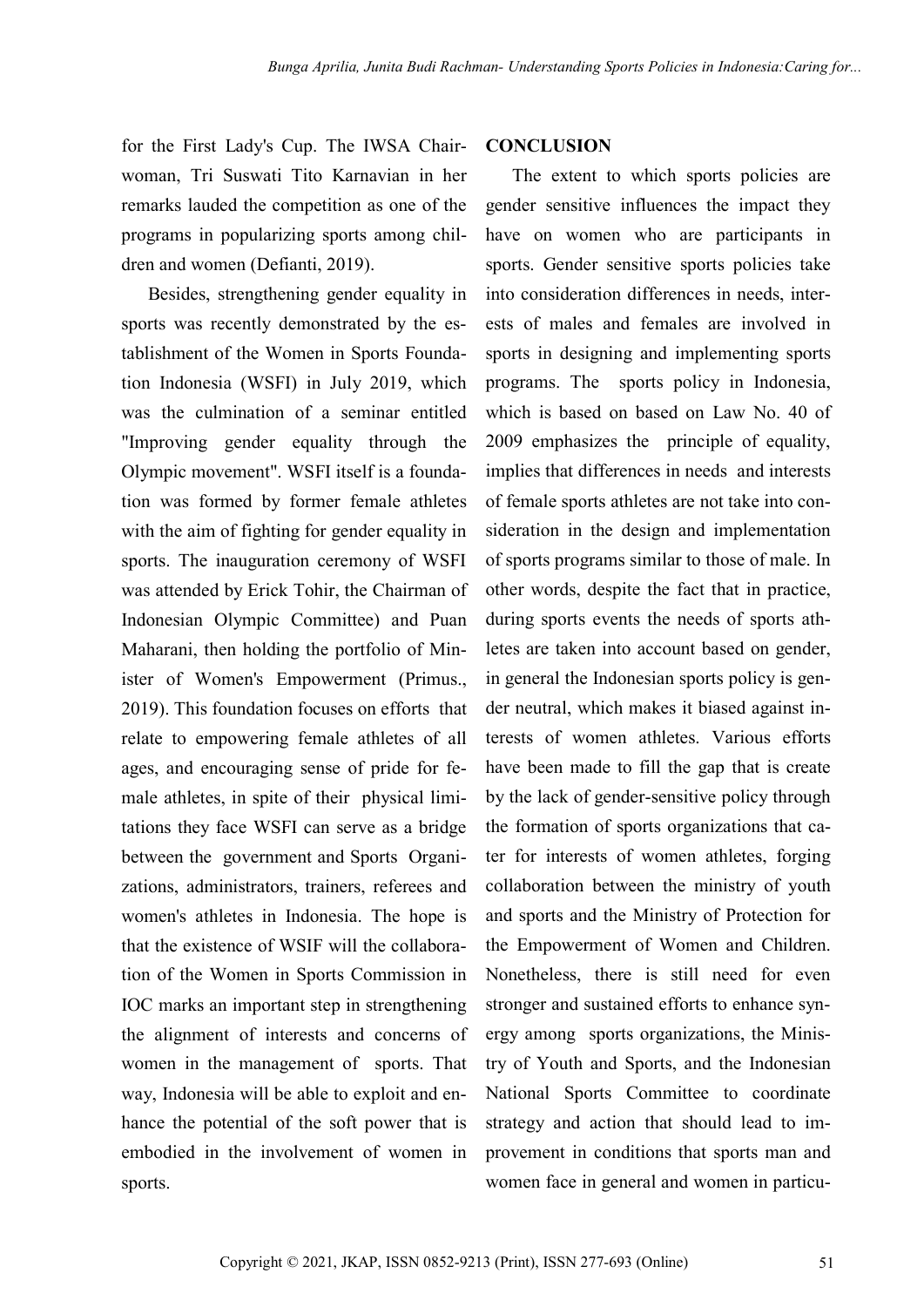for the First Lady's Cup. The IWSA Chairwoman, Tri Suswati Tito Karnavian in her remarks lauded the competition as one of the programs in popularizing sports among children and women (Defianti, 2019).

Besides, strengthening gender equality in sports was recently demonstrated by the establishment of the Women in Sports Foundation Indonesia (WSFI) in July 2019, which was the culmination of a seminar entitled "Improving gender equality through the Olympic movement". WSFI itself is a foundation was formed by former female athletes with the aim of fighting for gender equality in sports. The inauguration ceremony of WSFI was attended by Erick Tohir, the Chairman of Indonesian Olympic Committee) and Puan Maharani, then holding the portfolio of Minister of Women's Empowerment (Primus., 2019). This foundation focuses on efforts that relate to empowering female athletes of all ages, and encouraging sense of pride for female athletes, in spite of their physical limitations they face WSFI can serve as a bridge between the government and Sports Organizations, administrators, trainers, referees and women's athletes in Indonesia. The hope is that the existence of WSIF will the collaboration of the Women in Sports Commission in IOC marks an important step in strengthening the alignment of interests and concerns of women in the management of sports. That way, Indonesia will be able to exploit and enhance the potential of the soft power that is embodied in the involvement of women in sports.

### **CONCLUSION**

The extent to which sports policies are gender sensitive influences the impact they have on women who are participants in sports. Gender sensitive sports policies take into consideration differences in needs, interests of males and females are involved in sports in designing and implementing sports programs. The sports policy in Indonesia, which is based on based on Law No. 40 of 2009 emphasizes the principle of equality, implies that differences in needs and interests of female sports athletes are not take into consideration in the design and implementation of sports programs similar to those of male. In other words, despite the fact that in practice, during sports events the needs of sports athletes are taken into account based on gender, in general the Indonesian sports policy is gender neutral, which makes it biased against interests of women athletes. Various efforts have been made to fill the gap that is create by the lack of gender-sensitive policy through the formation of sports organizations that cater for interests of women athletes, forging collaboration between the ministry of youth and sports and the Ministry of Protection for the Empowerment of Women and Children. Nonetheless, there is still need for even stronger and sustained efforts to enhance synergy among sports organizations, the Ministry of Youth and Sports, and the Indonesian National Sports Committee to coordinate strategy and action that should lead to improvement in conditions that sports man and women face in general and women in particu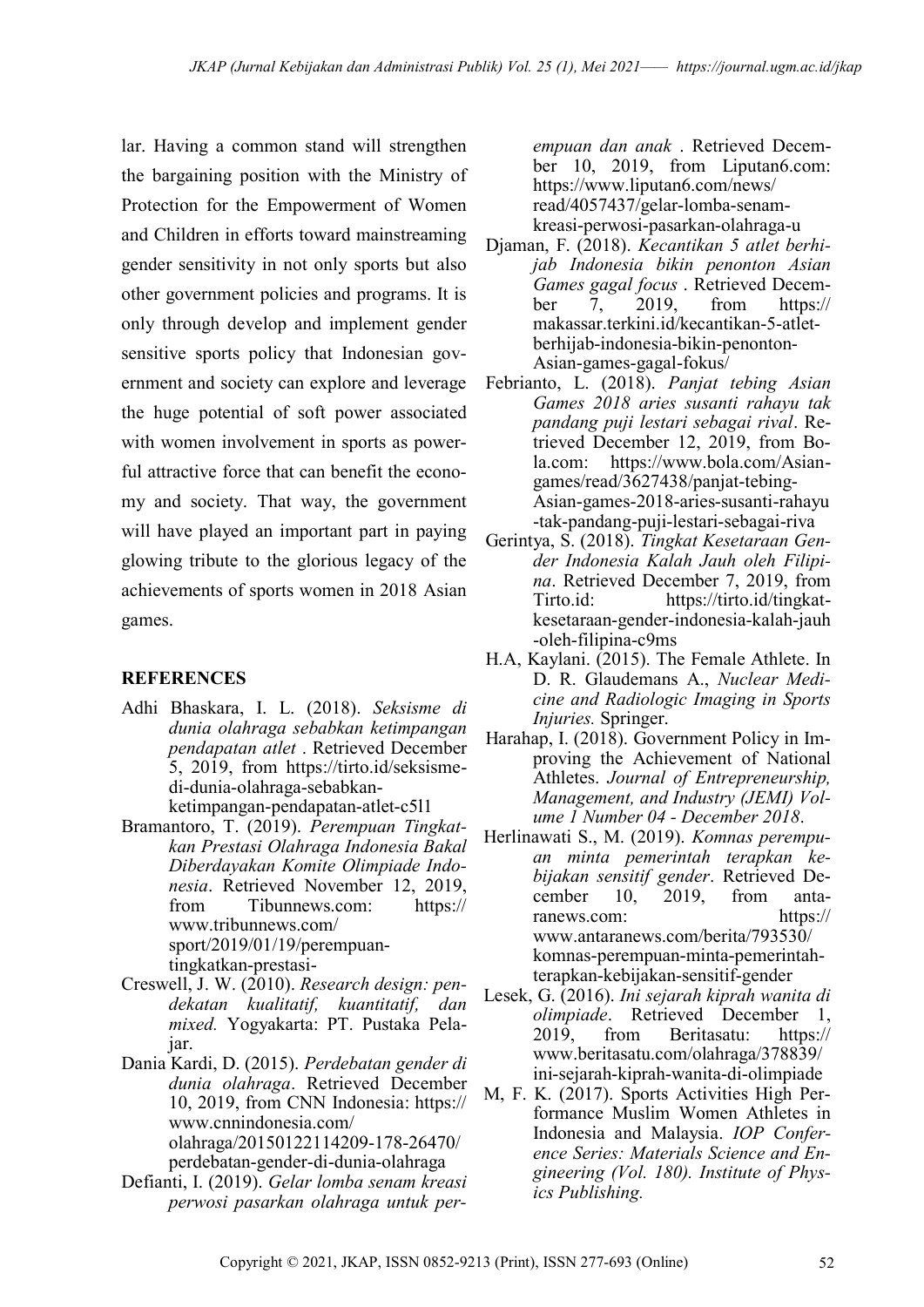lar. Having a common stand will strengthen the bargaining position with the Ministry of Protection for the Empowerment of Women and Children in efforts toward mainstreaming gender sensitivity in not only sports but also other government policies and programs. It is only through develop and implement gender sensitive sports policy that Indonesian government and society can explore and leverage the huge potential of soft power associated with women involvement in sports as powerful attractive force that can benefit the economy and society. That way, the government will have played an important part in paying glowing tribute to the glorious legacy of the achievements of sports women in 2018 Asian games.

### **REFERENCES**

- Adhi Bhaskara, I. L. (2018). *Seksisme di dunia olahraga sebabkan ketimpangan pendapatan atlet* . Retrieved December 5, 2019, from https://tirto.id/seksismedi-dunia-olahraga-sebabkanketimpangan-pendapatan-atlet-c5l1
- Bramantoro, T. (2019). *Perempuan Tingkatkan Prestasi Olahraga Indonesia Bakal Diberdayakan Komite Olimpiade Indonesia*. Retrieved November 12, 2019, from Tibunnews.com: https:// www.tribunnews.com/ sport/2019/01/19/perempuantingkatkan-prestasi-
- Creswell, J. W. (2010). *Research design: pendekatan kualitatif, kuantitatif, dan mixed.* Yogyakarta: PT. Pustaka Pelajar.
- Dania Kardi, D. (2015). *Perdebatan gender di dunia olahraga*. Retrieved December 10, 2019, from CNN Indonesia: https:// www.cnnindonesia.com/ olahraga/20150122114209-178-26470/ perdebatan-gender-di-dunia-olahraga
- Defianti, I. (2019). *Gelar lomba senam kreasi perwosi pasarkan olahraga untuk per-*

*empuan dan anak* . Retrieved December 10, 2019, from Liputan6.com: https://www.liputan6.com/news/ read/4057437/gelar-lomba-senamkreasi-perwosi-pasarkan-olahraga-u

- Djaman, F. (2018). *Kecantikan 5 atlet berhijab Indonesia bikin penonton Asian Games gagal focus* . Retrieved December 7, 2019, from https:// makassar.terkini.id/kecantikan-5-atletberhijab-indonesia-bikin-penonton-Asian-games-gagal-fokus/
- Febrianto, L. (2018). *Panjat tebing Asian Games 2018 aries susanti rahayu tak pandang puji lestari sebagai rival*. Retrieved December 12, 2019, from Bola.com: https://www.bola.com/Asiangames/read/3627438/panjat-tebing-Asian-games-2018-aries-susanti-rahayu -tak-pandang-puji-lestari-sebagai-riva
- Gerintya, S. (2018). *Tingkat Kesetaraan Gender Indonesia Kalah Jauh oleh Filipina*. Retrieved December 7, 2019, from Tirto.id: https://tirto.id/tingkatkesetaraan-gender-indonesia-kalah-jauh -oleh-filipina-c9ms
- H.A, Kaylani. (2015). The Female Athlete. In D. R. Glaudemans A., *Nuclear Medicine and Radiologic Imaging in Sports Injuries.* Springer.
- Harahap, I. (2018). Government Policy in Improving the Achievement of National Athletes. *Journal of Entrepreneurship, Management, and Industry (JEMI) Volume 1 Number 04 - December 2018*.
- Herlinawati S., M. (2019). *Komnas perempuan minta pemerintah terapkan kebijakan sensitif gender*. Retrieved December 10, 2019, from antaranews.com: https:// www.antaranews.com/berita/793530/ komnas-perempuan-minta-pemerintahterapkan-kebijakan-sensitif-gender
- Lesek, G. (2016). *Ini sejarah kiprah wanita di olimpiade*. Retrieved December 1, 2019, from Beritasatu: https:// www.beritasatu.com/olahraga/378839/ ini-sejarah-kiprah-wanita-di-olimpiade
- M, F. K. (2017). Sports Activities High Performance Muslim Women Athletes in Indonesia and Malaysia. *IOP Conference Series: Materials Science and Engineering (Vol. 180). Institute of Physics Publishing.*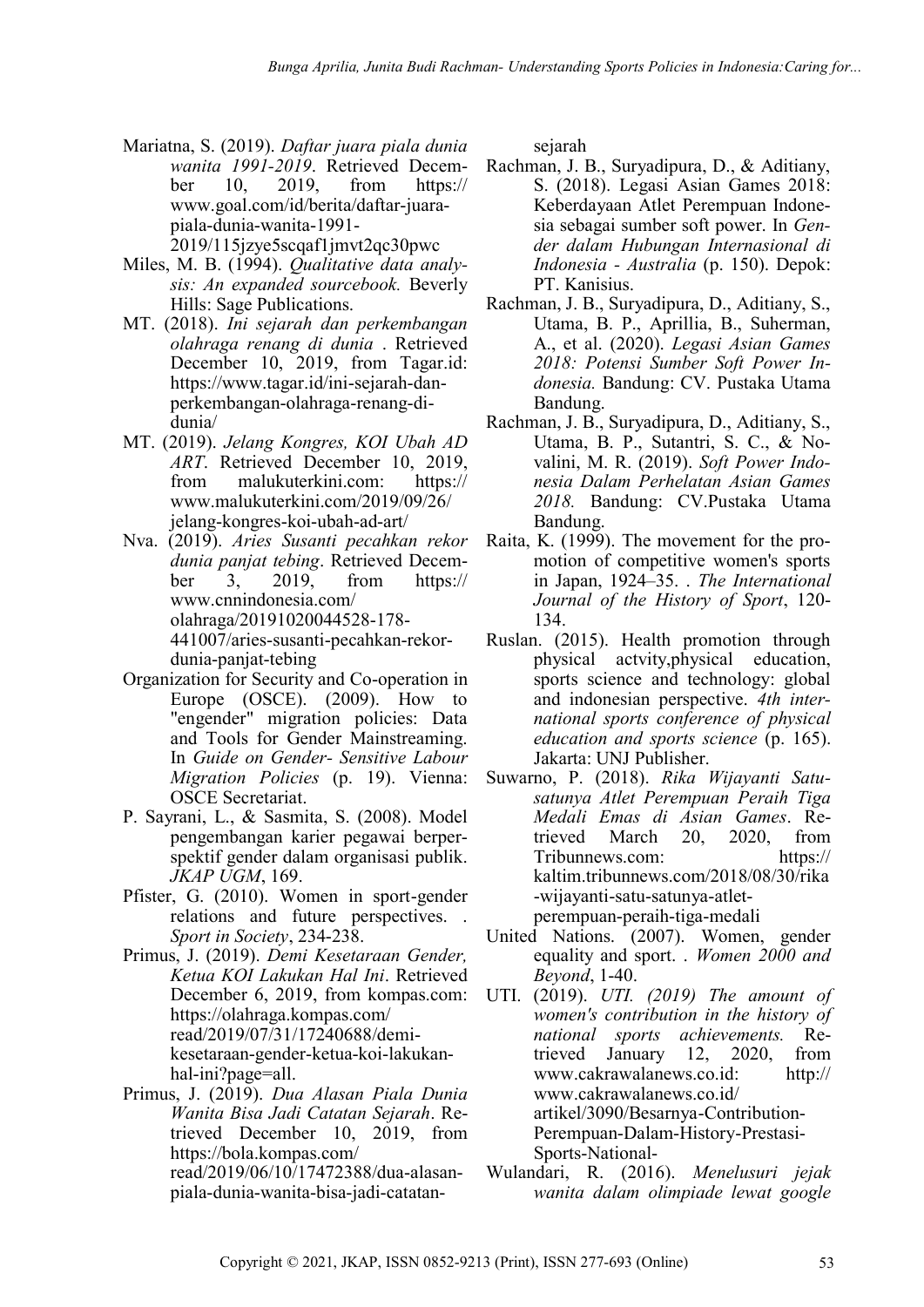- Mariatna, S. (2019). *Daftar juara piala dunia wanita 1991-2019*. Retrieved December 10, 2019, from https:// www.goal.com/id/berita/daftar-juarapiala-dunia-wanita-1991- 2019/115jzye5scqaf1jmvt2qc30pwc
- Miles, M. B. (1994). *Qualitative data analysis: An expanded sourcebook.* Beverly Hills: Sage Publications.
- MT. (2018). *Ini sejarah dan perkembangan olahraga renang di dunia* . Retrieved December 10, 2019, from Tagar.id: https://www.tagar.id/ini-sejarah-danperkembangan-olahraga-renang-didunia/
- MT. (2019). *Jelang Kongres, KOI Ubah AD ART*. Retrieved December 10, 2019, from malukuterkini.com: https:// www.malukuterkini.com/2019/09/26/ jelang-kongres-koi-ubah-ad-art/
- Nva. (2019). *Aries Susanti pecahkan rekor dunia panjat tebing*. Retrieved December 3, 2019, from https:// www.cnnindonesia.com/ olahraga/20191020044528-178- 441007/aries-susanti-pecahkan-rekordunia-panjat-tebing
- Organization for Security and Co-operation in Europe (OSCE). (2009). How to "engender" migration policies: Data and Tools for Gender Mainstreaming. In *Guide on Gender- Sensitive Labour Migration Policies* (p. 19). Vienna: OSCE Secretariat.
- P. Sayrani, L., & Sasmita, S. (2008). Model pengembangan karier pegawai berperspektif gender dalam organisasi publik. *JKAP UGM*, 169.
- Pfister, G. (2010). Women in sport-gender relations and future perspectives. . *Sport in Society*, 234-238.
- Primus, J. (2019). *Demi Kesetaraan Gender, Ketua KOI Lakukan Hal Ini*. Retrieved December 6, 2019, from kompas.com: https://olahraga.kompas.com/ read/2019/07/31/17240688/demikesetaraan-gender-ketua-koi-lakukanhal-ini?page=all.
- Primus, J. (2019). *Dua Alasan Piala Dunia Wanita Bisa Jadi Catatan Sejarah*. Retrieved December 10, 2019, from https://bola.kompas.com/ read/2019/06/10/17472388/dua-alasanpiala-dunia-wanita-bisa-jadi-catatan-

sejarah

- Rachman, J. B., Suryadipura, D., & Aditiany, S. (2018). Legasi Asian Games 2018: Keberdayaan Atlet Perempuan Indonesia sebagai sumber soft power. In *Gender dalam Hubungan Internasional di Indonesia - Australia* (p. 150). Depok: PT. Kanisius.
- Rachman, J. B., Suryadipura, D., Aditiany, S., Utama, B. P., Aprillia, B., Suherman, A., et al. (2020). *Legasi Asian Games 2018: Potensi Sumber Soft Power Indonesia.* Bandung: CV. Pustaka Utama Bandung.
- Rachman, J. B., Suryadipura, D., Aditiany, S., Utama, B. P., Sutantri, S. C., & Novalini, M. R. (2019). *Soft Power Indonesia Dalam Perhelatan Asian Games 2018.* Bandung: CV.Pustaka Utama Bandung.
- Raita, K. (1999). The movement for the promotion of competitive women's sports in Japan, 1924–35. . *The International Journal of the History of Sport*, 120- 134.
- Ruslan. (2015). Health promotion through physical actvity,physical education, sports science and technology: global and indonesian perspective. *4th international sports conference of physical education and sports science* (p. 165). Jakarta: UNJ Publisher.
- Suwarno, P. (2018). *Rika Wijayanti Satusatunya Atlet Perempuan Peraih Tiga Medali Emas di Asian Games*. Retrieved March 20, 2020, from Tribunnews.com: https:// kaltim.tribunnews.com/2018/08/30/rika -wijayanti-satu-satunya-atletperempuan-peraih-tiga-medali
- United Nations. (2007). Women, gender equality and sport. . *Women 2000 and Beyond*, 1-40.
- UTI. (2019). *UTI. (2019) The amount of women's contribution in the history of national sports achievements.* Retrieved January 12, 2020, from www.cakrawalanews.co.id: http:// www.cakrawalanews.co.id/ artikel/3090/Besarnya-Contribution-Perempuan-Dalam-History-Prestasi-Sports-National-
- Wulandari, R. (2016). *Menelusuri jejak wanita dalam olimpiade lewat google*